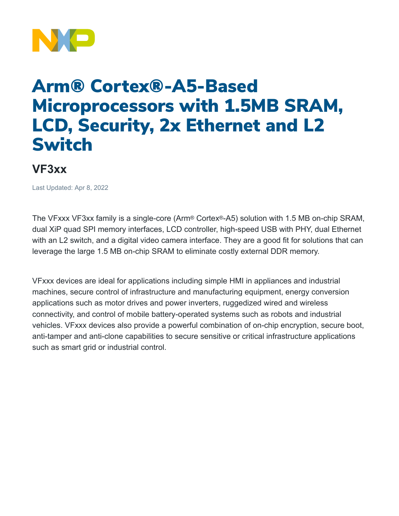

## Arm® Cortex®-A5-Based Microprocessors with 1.5MB SRAM, LCD, Security, 2x Ethernet and L2 Switch

## **VF3xx**

Last Updated: Apr 8, 2022

The VFxxx VF3xx family is a single-core (Arm® Cortex®-A5) solution with 1.5 MB on-chip SRAM, dual XiP quad SPI memory interfaces, LCD controller, high-speed USB with PHY, dual Ethernet with an L2 switch, and a digital video camera interface. They are a good fit for solutions that can leverage the large 1.5 MB on-chip SRAM to eliminate costly external DDR memory.

VFxxx devices are ideal for applications including simple HMI in appliances and industrial machines, secure control of infrastructure and manufacturing equipment, energy conversion applications such as motor drives and power inverters, ruggedized wired and wireless connectivity, and control of mobile battery-operated systems such as robots and industrial vehicles. VFxxx devices also provide a powerful combination of on-chip encryption, secure boot, anti-tamper and anti-clone capabilities to secure sensitive or critical infrastructure applications such as smart grid or industrial control.